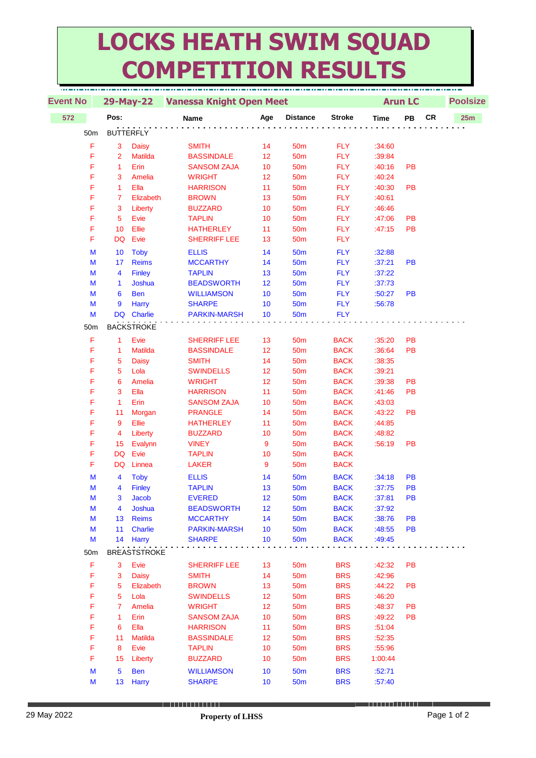## **LOCKS HEATH SWIM SQUAD COMPETITION RESULTS**

| <b>Event No</b> |                |                     | 29-May-22 Vanessa Knight Open Meet |     |                 |               |             | <b>Arun LC</b> |            | <b>Poolsize</b> |  |  |
|-----------------|----------------|---------------------|------------------------------------|-----|-----------------|---------------|-------------|----------------|------------|-----------------|--|--|
|                 | Pos:           |                     |                                    |     |                 |               |             |                |            |                 |  |  |
| 572             |                |                     | <b>Name</b>                        | Age | <b>Distance</b> | <b>Stroke</b> | <b>Time</b> | PB             | ${\sf CR}$ | 25m             |  |  |
| 50 <sub>m</sub> |                | <b>BUTTERFLY</b>    |                                    |     |                 |               |             |                |            |                 |  |  |
| F               | 3              | <b>Daisy</b>        | <b>SMITH</b>                       | 14  | 50 <sub>m</sub> | <b>FLY</b>    | :34:60      |                |            |                 |  |  |
| F               | $\overline{2}$ | <b>Matilda</b>      | <b>BASSINDALE</b>                  | 12  | 50 <sub>m</sub> | <b>FLY</b>    | :39:84      |                |            |                 |  |  |
| F               | 1              | Erin                | <b>SANSOM ZAJA</b>                 | 10  | 50 <sub>m</sub> | <b>FLY</b>    | :40:16      | <b>PB</b>      |            |                 |  |  |
| F               | 3              | Amelia              | <b>WRIGHT</b>                      | 12  | 50 <sub>m</sub> | <b>FLY</b>    | :40:24      |                |            |                 |  |  |
| F               | 1              | Ella                | <b>HARRISON</b>                    | 11  | <b>50m</b>      | <b>FLY</b>    | :40:30      | PB             |            |                 |  |  |
| F               | 7              | Elizabeth           | <b>BROWN</b>                       | 13  | 50 <sub>m</sub> | <b>FLY</b>    | :40:61      |                |            |                 |  |  |
| F               | 3              | Liberty             | <b>BUZZARD</b>                     | 10  | 50 <sub>m</sub> | <b>FLY</b>    | :46:46      |                |            |                 |  |  |
| F               | $\sqrt{5}$     | Evie                | <b>TAPLIN</b>                      | 10  | 50 <sub>m</sub> | <b>FLY</b>    | :47:06      | PB             |            |                 |  |  |
| F               | 10             | Ellie               | <b>HATHERLEY</b>                   | 11  | 50 <sub>m</sub> | <b>FLY</b>    | :47:15      | PB             |            |                 |  |  |
| F               | DQ             | Evie                | <b>SHERRIFF LEE</b>                | 13  | 50 <sub>m</sub> | <b>FLY</b>    |             |                |            |                 |  |  |
| M               | 10             | <b>Toby</b>         | <b>ELLIS</b>                       | 14  | 50 <sub>m</sub> | <b>FLY</b>    | :32:88      |                |            |                 |  |  |
| М               | 17             | <b>Reims</b>        | <b>MCCARTHY</b>                    | 14  | 50 <sub>m</sub> | <b>FLY</b>    | :37:21      | <b>PB</b>      |            |                 |  |  |
| М               | 4              | <b>Finley</b>       | <b>TAPLIN</b>                      | 13  | 50 <sub>m</sub> | <b>FLY</b>    | :37:22      |                |            |                 |  |  |
| М               | 1              | Joshua              | <b>BEADSWORTH</b>                  | 12  | 50 <sub>m</sub> | <b>FLY</b>    | :37:73      |                |            |                 |  |  |
| М               | 6              | <b>Ben</b>          | <b>WILLIAMSON</b>                  | 10  | <b>50m</b>      | <b>FLY</b>    | :50:27      | <b>PB</b>      |            |                 |  |  |
| M               | 9              | Harry               | <b>SHARPE</b>                      | 10  | <b>50m</b>      | <b>FLY</b>    | :56:78      |                |            |                 |  |  |
| M               |                | DQ Charlie          | <b>PARKIN-MARSH</b>                | 10  | <b>50m</b>      | <b>FLY</b>    |             |                |            |                 |  |  |
| 50m             |                | <b>BACKSTROKE</b>   |                                    |     |                 |               |             |                |            |                 |  |  |
| F               | $\mathbf{1}$   | Evie                | <b>SHERRIFF LEE</b>                | 13  | 50 <sub>m</sub> | <b>BACK</b>   | :35:20      | PB             |            |                 |  |  |
| F               | 1              | <b>Matilda</b>      | <b>BASSINDALE</b>                  | 12  | <b>50m</b>      | <b>BACK</b>   | :36:64      | <b>PB</b>      |            |                 |  |  |
| F               | 5              | <b>Daisy</b>        | <b>SMITH</b>                       | 14  | 50 <sub>m</sub> | <b>BACK</b>   | :38:35      |                |            |                 |  |  |
| F               | 5              | Lola                | <b>SWINDELLS</b>                   | 12  | <b>50m</b>      | <b>BACK</b>   | :39:21      |                |            |                 |  |  |
| F               | 6              | Amelia              | <b>WRIGHT</b>                      | 12  | 50 <sub>m</sub> | <b>BACK</b>   | :39:38      | PB             |            |                 |  |  |
| F               | 3              | Ella                | <b>HARRISON</b>                    | 11  | 50 <sub>m</sub> | <b>BACK</b>   | :41:46      | <b>PB</b>      |            |                 |  |  |
| F               | $\mathbf{1}$   | Erin                | <b>SANSOM ZAJA</b>                 | 10  | 50 <sub>m</sub> | <b>BACK</b>   | :43:03      |                |            |                 |  |  |
| F               | 11             | Morgan              | <b>PRANGLE</b>                     | 14  | 50 <sub>m</sub> | <b>BACK</b>   | :43:22      | <b>PB</b>      |            |                 |  |  |
| F               | 9              | Ellie               | <b>HATHERLEY</b>                   | 11  | 50 <sub>m</sub> | <b>BACK</b>   | :44:85      |                |            |                 |  |  |
| F               | 4              | Liberty             | <b>BUZZARD</b>                     | 10  | 50 <sub>m</sub> | <b>BACK</b>   | :48:82      |                |            |                 |  |  |
| F               | 15             | Evalynn             | <b>VINEY</b>                       | 9   | 50 <sub>m</sub> | <b>BACK</b>   | :56:19      | PB             |            |                 |  |  |
| F               | <b>DQ</b>      | Evie                | <b>TAPLIN</b>                      | 10  | 50 <sub>m</sub> | <b>BACK</b>   |             |                |            |                 |  |  |
| F               | <b>DQ</b>      | Linnea              | <b>LAKER</b>                       | 9   | 50 <sub>m</sub> | <b>BACK</b>   |             |                |            |                 |  |  |
| M               | 4              | <b>Toby</b>         | <b>ELLIS</b>                       | 14  | <b>50m</b>      | <b>BACK</b>   | :34:18      | <b>PB</b>      |            |                 |  |  |
| М               | 4              | <b>Finley</b>       | <b>TAPLIN</b>                      | 13  | <b>50m</b>      | <b>BACK</b>   | :37:75      | PB             |            |                 |  |  |
| M               | 3              | Jacob               | <b>EVERED</b>                      | 12  | 50 <sub>m</sub> | <b>BACK</b>   | :37:81      | <b>PB</b>      |            |                 |  |  |
| M               | 4              | Joshua              | <b>BEADSWORTH</b>                  | 12  | 50 <sub>m</sub> | <b>BACK</b>   | :37:92      |                |            |                 |  |  |
| M               | 13             | <b>Reims</b>        | <b>MCCARTHY</b>                    | 14  | 50 <sub>m</sub> | <b>BACK</b>   | :38:76      | <b>PB</b>      |            |                 |  |  |
| M               | 11             | Charlie             | <b>PARKIN-MARSH</b>                | 10  | 50 <sub>m</sub> | <b>BACK</b>   | :48:55      | <b>PB</b>      |            |                 |  |  |
| M               | 14             | Harry               | <b>SHARPE</b>                      | 10  | <b>50m</b>      | <b>BACK</b>   | :49:45      |                |            |                 |  |  |
| 50m             |                | <b>BREASTSTROKE</b> |                                    |     |                 |               |             |                |            |                 |  |  |
| F               | 3              | Evie                | <b>SHERRIFF LEE</b>                | 13  | 50 <sub>m</sub> | <b>BRS</b>    | :42:32      | PB             |            |                 |  |  |
| F               | 3              | <b>Daisy</b>        | <b>SMITH</b>                       | 14  | 50 <sub>m</sub> | <b>BRS</b>    | :42:96      |                |            |                 |  |  |
| F               | 5              | Elizabeth           | <b>BROWN</b>                       | 13  | 50 <sub>m</sub> | <b>BRS</b>    | :44:22      | PB             |            |                 |  |  |
| F               | 5              | Lola                | <b>SWINDELLS</b>                   | 12  | 50 <sub>m</sub> | <b>BRS</b>    | :46:20      |                |            |                 |  |  |
| F               | 7              | Amelia              | <b>WRIGHT</b>                      | 12  | 50 <sub>m</sub> | <b>BRS</b>    | :48:37      | <b>PB</b>      |            |                 |  |  |
| F               | $\mathbf{1}$   | Erin                | <b>SANSOM ZAJA</b>                 | 10  | 50 <sub>m</sub> | <b>BRS</b>    | :49:22      | <b>PB</b>      |            |                 |  |  |
| F               | 6              | Ella                | <b>HARRISON</b>                    | 11  | <b>50m</b>      | <b>BRS</b>    | :51:04      |                |            |                 |  |  |
| F               | 11             | Matilda             | <b>BASSINDALE</b>                  | 12  | <b>50m</b>      | <b>BRS</b>    | :52:35      |                |            |                 |  |  |
| F               | 8              | Evie                | <b>TAPLIN</b>                      | 10  | <b>50m</b>      | <b>BRS</b>    | :55:96      |                |            |                 |  |  |
| F               | 15             | Liberty             | <b>BUZZARD</b>                     | 10  | <b>50m</b>      | <b>BRS</b>    | 1:00:44     |                |            |                 |  |  |
| M               | $\overline{5}$ | <b>Ben</b>          | <b>WILLIAMSON</b>                  | 10  | <b>50m</b>      | <b>BRS</b>    | :52:71      |                |            |                 |  |  |
| M               |                | 13 Harry            | <b>SHARPE</b>                      | 10  | 50m             | <b>BRS</b>    | :57:40      |                |            |                 |  |  |